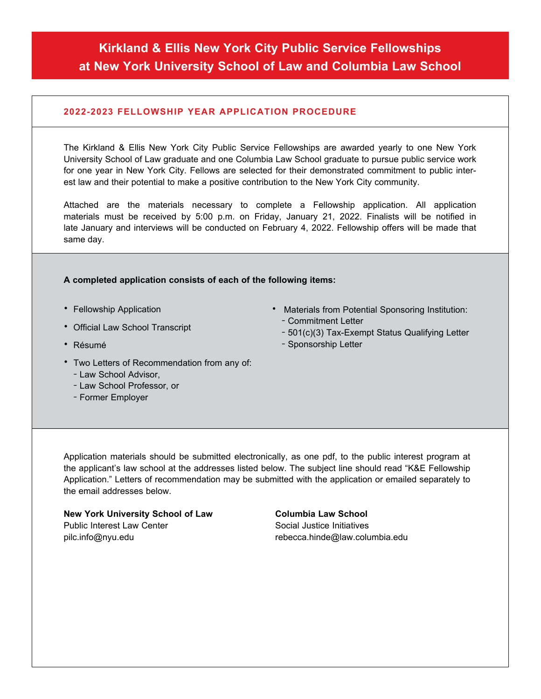# **Kirkland & Ellis New York City Public Service Fellowships at New York University School of Law and Columbia Law School**

### **2022-2023 FELLOWSHIP YEAR APPLICATION PROCEDURE**

The Kirkland & Ellis New York City Public Service Fellowships are awarded yearly to one New York University School of Law graduate and one Columbia Law School graduate to pursue public service work for one year in New York City. Fellows are selected for their demonstrated commitment to public interest law and their potential to make a positive contribution to the New York City community.

Attached are the materials necessary to complete a Fellowship application. All application materials must be received by 5:00 p.m. on Friday, January 21, 2022. Finalists will be notified in late January and interviews will be conducted on February 4, 2022. Fellowship offers will be made that same day.

#### **A completed application consists of each of the following items:**

- Fellowship Application
- Official Law School Transcript
- Résumé
- Two Letters of Recommendation from any of: – Law School Advisor,
	- Law School Professor, or
	- Former Employer
- Materials from Potential Sponsoring Institution: – Commitment Letter
	- 501(c)(3) Tax-Exempt Status Qualifying Letter
	- Sponsorship Letter

Application materials should be submitted electronically, as one pdf, to the public interest program at the applicant's law school at the addresses listed below. The subject line should read "K&E Fellowship Application." Letters of recommendation may be submitted with the application or emailed separately to the email addresses below.

**New York University School of Law**  Public Interest Law Center [pilc.info@nyu.edu](mailto:pilc.info%40nyu.edu?subject=)

#### **Columbia Law School**

Social Justice Initiatives [rebecca.hinde@law.columbia.edu](mailto:rebecca.hinde%40law.columbia.edu?subject=)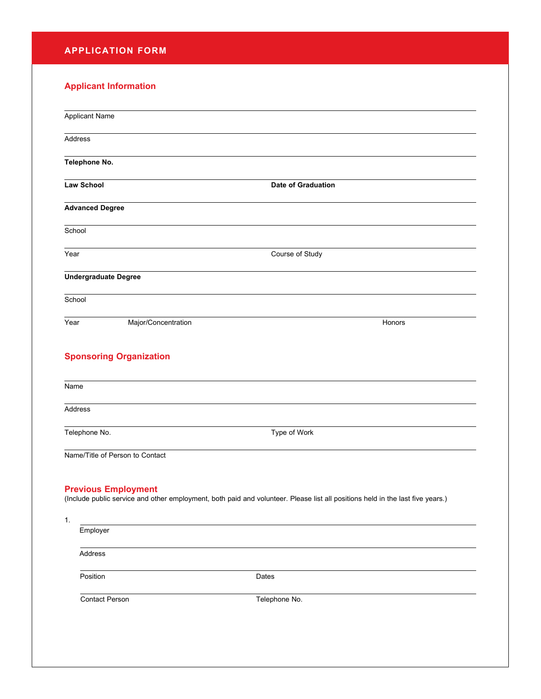# **APPLICATION FORM**

## **Applicant Information**

| <b>Applicant Name</b>           |                                                                                                                                |
|---------------------------------|--------------------------------------------------------------------------------------------------------------------------------|
| Address                         |                                                                                                                                |
| Telephone No.                   |                                                                                                                                |
| <b>Law School</b>               | <b>Date of Graduation</b>                                                                                                      |
| <b>Advanced Degree</b>          |                                                                                                                                |
| School                          |                                                                                                                                |
| Year                            | Course of Study                                                                                                                |
| <b>Undergraduate Degree</b>     |                                                                                                                                |
| School                          |                                                                                                                                |
| Year                            | Major/Concentration<br>Honors                                                                                                  |
| <b>Sponsoring Organization</b>  |                                                                                                                                |
| Name                            |                                                                                                                                |
| Address                         |                                                                                                                                |
| Telephone No.                   | Type of Work                                                                                                                   |
| Name/Title of Person to Contact |                                                                                                                                |
| <b>Previous Employment</b>      | (Include public service and other employment, both paid and volunteer. Please list all positions held in the last five years.) |
| 1.<br>Employer                  |                                                                                                                                |
| Address                         |                                                                                                                                |
| Position                        | Dates                                                                                                                          |
| Contact Person                  | Telephone No.                                                                                                                  |
|                                 |                                                                                                                                |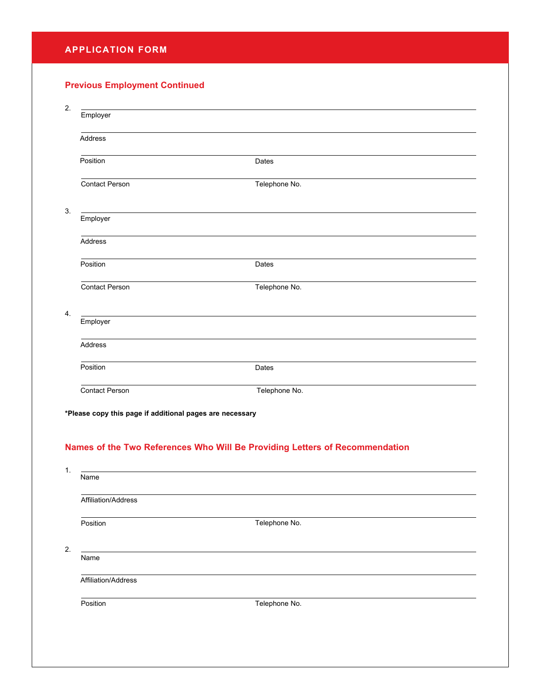## **APPLICATION FORM**

# **Previous Employment Continued**

| 2. |                                                                             |               |  |  |
|----|-----------------------------------------------------------------------------|---------------|--|--|
|    | Employer                                                                    |               |  |  |
|    | <b>Address</b>                                                              |               |  |  |
|    | Position                                                                    | <b>Dates</b>  |  |  |
|    | <b>Contact Person</b>                                                       | Telephone No. |  |  |
| 3. | Employer                                                                    |               |  |  |
|    | <b>Address</b>                                                              |               |  |  |
|    | Position                                                                    | <b>Dates</b>  |  |  |
|    | <b>Contact Person</b>                                                       | Telephone No. |  |  |
| 4. | Employer                                                                    |               |  |  |
|    | Address                                                                     |               |  |  |
|    | Position                                                                    | Dates         |  |  |
|    | <b>Contact Person</b>                                                       | Telephone No. |  |  |
|    | *Please copy this page if additional pages are necessary                    |               |  |  |
|    | Names of the Two References Who Will Be Providing Letters of Recommendation |               |  |  |

| Name                |               |  |
|---------------------|---------------|--|
| Affiliation/Address |               |  |
| Position            | Telephone No. |  |
| Name                |               |  |
| Affiliation/Address |               |  |
| Position            | Telephone No. |  |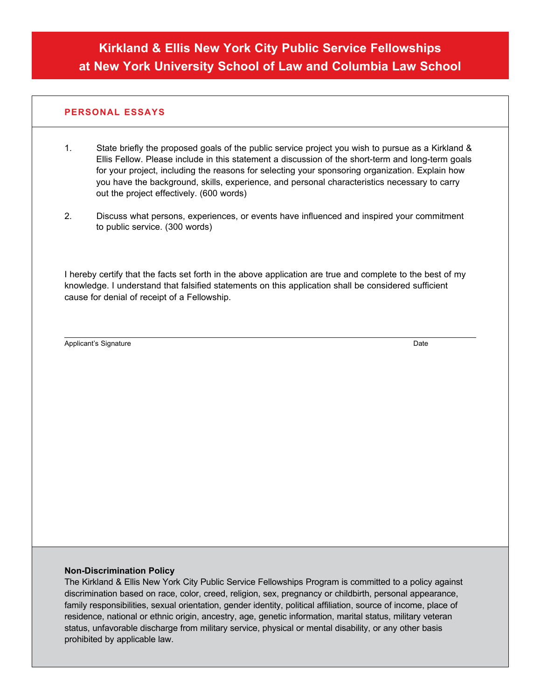## **PERSONAL ESSAYS**

- 1. State briefly the proposed goals of the public service project you wish to pursue as a Kirkland & Ellis Fellow. Please include in this statement a discussion of the short-term and long-term goals for your project, including the reasons for selecting your sponsoring organization. Explain how you have the background, skills, experience, and personal characteristics necessary to carry out the project effectively. (600 words)
- 2. Discuss what persons, experiences, or events have influenced and inspired your commitment to public service. (300 words)

I hereby certify that the facts set forth in the above application are true and complete to the best of my knowledge. I understand that falsified statements on this application shall be considered sufficient cause for denial of receipt of a Fellowship.

Applicant's Signature

Date

#### **Non-Discrimination Policy**

The Kirkland & Ellis New York City Public Service Fellowships Program is committed to a policy against discrimination based on race, color, creed, religion, sex, pregnancy or childbirth, personal appearance, family responsibilities, sexual orientation, gender identity, political affiliation, source of income, place of residence, national or ethnic origin, ancestry, age, genetic information, marital status, military veteran status, unfavorable discharge from military service, physical or mental disability, or any other basis prohibited by applicable law.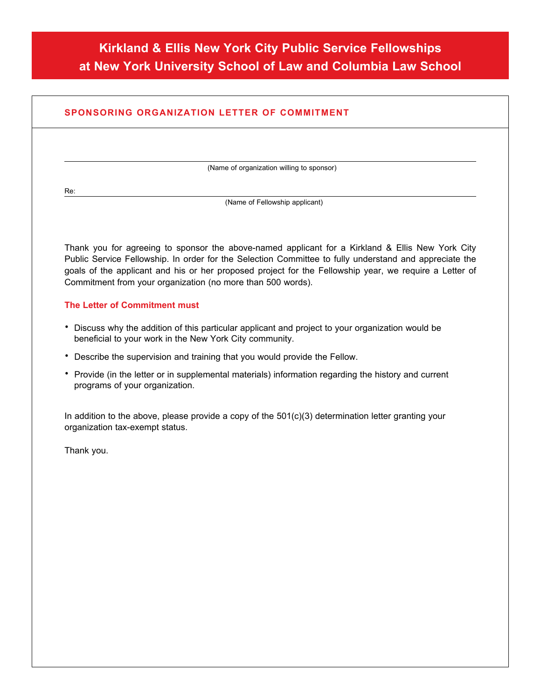# **Kirkland & Ellis New York City Public Service Fellowships at New York University School of Law and Columbia Law School**

# **SPONSORING ORGANIZATION LETTER OF COMMITMENT** (Name of organization willing to sponsor) Re: (Name of Fellowship applicant) Thank you for agreeing to sponsor the above-named applicant for a Kirkland & Ellis New York City Public Service Fellowship. In order for the Selection Committee to fully understand and appreciate the goals of the applicant and his or her proposed project for the Fellowship year, we require a Letter of Commitment from your organization (no more than 500 words).

#### **The Letter of Commitment must**

- Discuss why the addition of this particular applicant and project to your organization would be beneficial to your work in the New York City community.
- Describe the supervision and training that you would provide the Fellow.
- Provide (in the letter or in supplemental materials) information regarding the history and current programs of your organization.

In addition to the above, please provide a copy of the  $501(c)(3)$  determination letter granting your organization tax-exempt status.

Thank you.